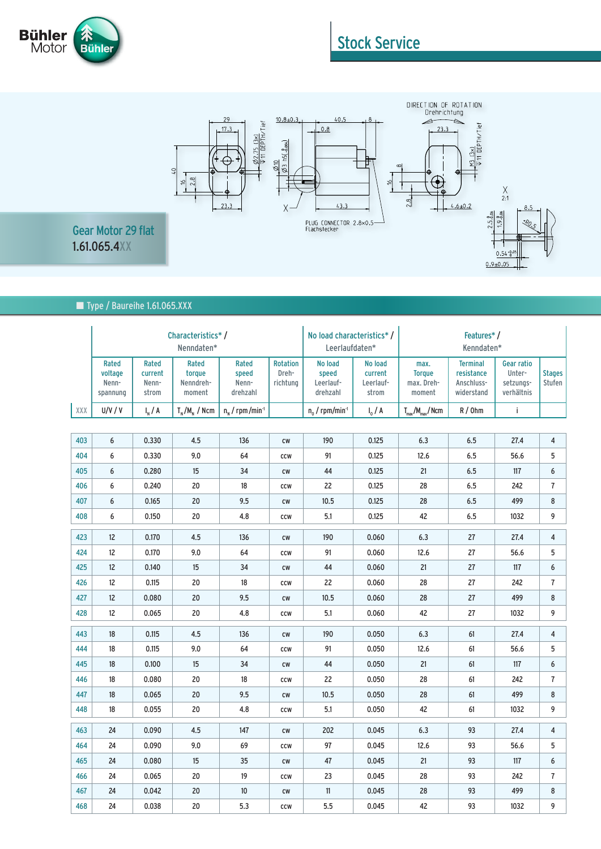

## Stock Service



■ Type / Baureihe 1.61.065.XXX

|     | Characteristics*/<br>Nenndaten*       |                                    |                                        |                                     | No load characteristics*/<br>Leerlaufdaten* |                                           | Features*/<br>Kenndaten*                 |                                               |                                                           |                                                        |                         |
|-----|---------------------------------------|------------------------------------|----------------------------------------|-------------------------------------|---------------------------------------------|-------------------------------------------|------------------------------------------|-----------------------------------------------|-----------------------------------------------------------|--------------------------------------------------------|-------------------------|
|     | Rated<br>voltage<br>Nenn-<br>spannung | Rated<br>current<br>Nenn-<br>strom | Rated<br>torque<br>Nenndreh-<br>moment | Rated<br>speed<br>Nenn-<br>drehzahl | <b>Rotation</b><br>Dreh-<br>richtung        | No load<br>speed<br>Leerlauf-<br>drehzahl | No load<br>current<br>Leerlauf-<br>strom | max.<br><b>Torque</b><br>max. Dreh-<br>moment | <b>Terminal</b><br>resistance<br>Anschluss-<br>widerstand | <b>Gear ratio</b><br>Unter-<br>setzungs-<br>verhältnis | <b>Stages</b><br>Stufen |
| XXX | U/V / V                               | $I_{N}$ / A                        | $T_{N}/M_{N}$ / Ncm                    | $n_{N}$ / rpm/min <sup>-1</sup>     |                                             | $n_0$ / rpm/min <sup>-1</sup>             | $I_0 / A$                                | $T_{\text{max}}/M_{\text{max}}/N$ cm          | R/Ohm                                                     | i                                                      |                         |
|     |                                       |                                    |                                        |                                     |                                             |                                           |                                          |                                               |                                                           |                                                        |                         |
| 403 | 6                                     | 0.330                              | 4.5                                    | 136                                 | cw                                          | 190                                       | 0.125                                    | 6.3                                           | 6.5                                                       | 27.4                                                   | 4                       |
| 404 | 6                                     | 0.330                              | 9.0                                    | 64                                  | CCW                                         | 91                                        | 0.125                                    | 12.6                                          | 6.5                                                       | 56.6                                                   | 5                       |
| 405 | 6                                     | 0.280                              | 15                                     | 34                                  | cw                                          | 44                                        | 0.125                                    | 21                                            | 6.5                                                       | 117                                                    | 6                       |
| 406 | 6                                     | 0.240                              | 20                                     | 18                                  | ccw                                         | 22                                        | 0.125                                    | 28                                            | 6.5                                                       | 242                                                    | 7                       |
| 407 | 6                                     | 0.165                              | 20                                     | 9.5                                 | cw                                          | 10.5                                      | 0.125                                    | 28                                            | 6.5                                                       | 499                                                    | 8                       |
| 408 | 6                                     | 0.150                              | 20                                     | 4.8                                 | <b>CCW</b>                                  | 5.1                                       | 0.125                                    | 42                                            | 6.5                                                       | 1032                                                   | 9                       |
| 423 | 12                                    | 0.170                              | 4.5                                    | 136                                 | cw                                          | 190                                       | 0.060                                    | 6.3                                           | 27                                                        | 27.4                                                   | $\overline{\mathbf{4}}$ |
| 424 | 12                                    | 0.170                              | 9.0                                    | 64                                  | ccw                                         | 91                                        | 0.060                                    | 12.6                                          | 27                                                        | 56.6                                                   | 5                       |
| 425 | 12                                    | 0.140                              | 15                                     | 34                                  | $\mathsf{cw}$                               | 44                                        | 0.060                                    | 21                                            | 27                                                        | 117                                                    | 6                       |
| 426 | 12                                    | 0.115                              | 20                                     | 18                                  | CCW                                         | 22                                        | 0.060                                    | 28                                            | 27                                                        | 242                                                    | 7                       |
| 427 | 12                                    | 0.080                              | 20                                     | 9.5                                 | cw                                          | 10.5                                      | 0.060                                    | 28                                            | 27                                                        | 499                                                    | 8                       |
| 428 | 12                                    | 0.065                              | 20                                     | 4.8                                 | <b>CCW</b>                                  | 5.1                                       | 0.060                                    | 42                                            | 27                                                        | 1032                                                   | 9                       |
| 443 | 18                                    | 0.115                              | 4.5                                    | 136                                 | cw                                          | 190                                       | 0.050                                    | 6.3                                           | 61                                                        | 27.4                                                   | 4                       |
| 444 | 18                                    | 0.115                              | 9.0                                    | 64                                  | <b>CCW</b>                                  | 91                                        | 0.050                                    | 12.6                                          | 61                                                        | 56.6                                                   | 5                       |
| 445 | 18                                    | 0.100                              | 15                                     | 34                                  | cw                                          | 44                                        | 0.050                                    | 21                                            | 61                                                        | 117                                                    | 6                       |
| 446 | 18                                    | 0.080                              | 20                                     | 18                                  | <b>CCW</b>                                  | 22                                        | 0.050                                    | 28                                            | 61                                                        | 242                                                    | $\overline{1}$          |
| 447 | 18                                    | 0.065                              | 20                                     | 9.5                                 | cw                                          | 10.5                                      | 0.050                                    | 28                                            | 61                                                        | 499                                                    | 8                       |
| 448 | 18                                    | 0.055                              | 20                                     | 4.8                                 | <b>CCW</b>                                  | 5.1                                       | 0.050                                    | 42                                            | 61                                                        | 1032                                                   | 9                       |
| 463 | 24                                    | 0.090                              | 4.5                                    | 147                                 | cw                                          | 202                                       | 0.045                                    | 6.3                                           | 93                                                        | 27.4                                                   | 4                       |
| 464 | 24                                    | 0.090                              | 9.0                                    | 69                                  | <b>CCW</b>                                  | 97                                        | 0.045                                    | 12.6                                          | 93                                                        | 56.6                                                   | 5                       |
| 465 | 24                                    | 0.080                              | 15                                     | 35                                  | cw                                          | 47                                        | 0.045                                    | 21                                            | 93                                                        | 117                                                    | 6                       |
| 466 | 24                                    | 0.065                              | 20                                     | 19                                  | <b>CCW</b>                                  | 23                                        | 0.045                                    | 28                                            | 93                                                        | 242                                                    | $\overline{1}$          |
| 467 | 24                                    | 0.042                              | 20                                     | 10                                  | cw                                          | 11                                        | 0.045                                    | 28                                            | 93                                                        | 499                                                    | 8                       |
| 468 | 24                                    | 0.038                              | 20                                     | 5.3                                 | <b>CCW</b>                                  | 5.5                                       | 0.045                                    | 42                                            | 93                                                        | 1032                                                   | 9                       |